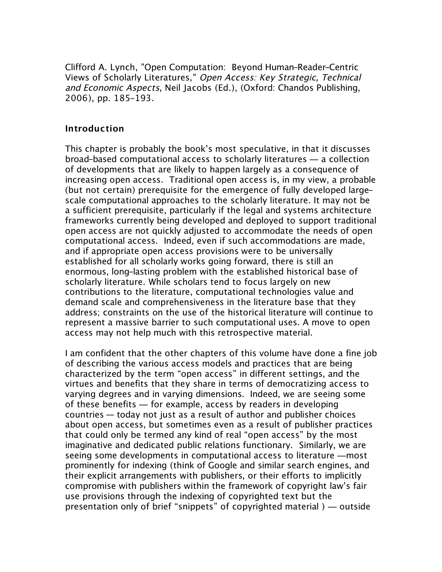Clifford A. Lynch, "Open Computation: Beyond Human-Reader-Centric Views of Scholarly Literatures," Open Access: Key Strategic, Technical and Economic Aspects, Neil Jacobs (Ed.), (Oxford: Chandos Publishing, 2006), pp. 185-193.

## **Introduction**

This chapter is probably the book's most speculative, in that it discusses broad-based computational access to scholarly literatures — a collection of developments that are likely to happen largely as a consequence of increasing open access. Traditional open access is, in my view, a probable (but not certain) prerequisite for the emergence of fully developed largescale computational approaches to the scholarly literature. It may not be a sufficient prerequisite, particularly if the legal and systems architecture frameworks currently being developed and deployed to support traditional open access are not quickly adjusted to accommodate the needs of open computational access. Indeed, even if such accommodations are made, and if appropriate open access provisions were to be universally established for all scholarly works going forward, there is still an enormous, long-lasting problem with the established historical base of scholarly literature. While scholars tend to focus largely on new contributions to the literature, computational technologies value and demand scale and comprehensiveness in the literature base that they address; constraints on the use of the historical literature will continue to represent a massive barrier to such computational uses. A move to open access may not help much with this retrospective material.

I am confident that the other chapters of this volume have done a fine job of describing the various access models and practices that are being characterized by the term "open access" in different settings, and the virtues and benefits that they share in terms of democratizing access to varying degrees and in varying dimensions. Indeed, we are seeing some of these benefits — for example, access by readers in developing countries – today not just as a result of author and publisher choices about open access, but sometimes even as a result of publisher practices that could only be termed any kind of real "open access" by the most imaginative and dedicated public relations functionary. Similarly, we are seeing some developments in computational access to literature —most prominently for indexing (think of Google and similar search engines, and their explicit arrangements with publishers, or their efforts to implicitly compromise with publishers within the framework of copyright law's fair use provisions through the indexing of copyrighted text but the presentation only of brief "snippets" of copyrighted material ) — outside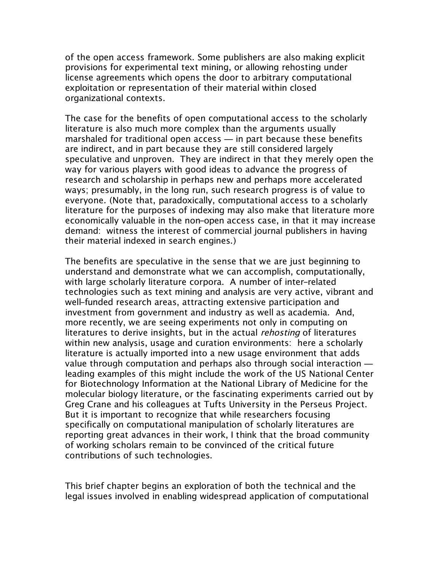of the open access framework. Some publishers are also making explicit provisions for experimental text mining, or allowing rehosting under license agreements which opens the door to arbitrary computational exploitation or representation of their material within closed organizational contexts.

The case for the benefits of open computational access to the scholarly literature is also much more complex than the arguments usually marshaled for traditional open access — in part because these benefits are indirect, and in part because they are still considered largely speculative and unproven. They are indirect in that they merely open the way for various players with good ideas to advance the progress of research and scholarship in perhaps new and perhaps more accelerated ways; presumably, in the long run, such research progress is of value to everyone. (Note that, paradoxically, computational access to a scholarly literature for the purposes of indexing may also make that literature more economically valuable in the non-open access case, in that it may increase demand: witness the interest of commercial journal publishers in having their material indexed in search engines.)

The benefits are speculative in the sense that we are just beginning to understand and demonstrate what we can accomplish, computationally, with large scholarly literature corpora. A number of inter-related technologies such as text mining and analysis are very active, vibrant and well-funded research areas, attracting extensive participation and investment from government and industry as well as academia. And, more recently, we are seeing experiments not only in computing on literatures to derive insights, but in the actual *rehosting* of literatures within new analysis, usage and curation environments: here a scholarly literature is actually imported into a new usage environment that adds value through computation and perhaps also through social interaction leading examples of this might include the work of the US National Center for Biotechnology Information at the National Library of Medicine for the molecular biology literature, or the fascinating experiments carried out by Greg Crane and his colleagues at Tufts University in the Perseus Project. But it is important to recognize that while researchers focusing specifically on computational manipulation of scholarly literatures are reporting great advances in their work, I think that the broad community of working scholars remain to be convinced of the critical future contributions of such technologies.

This brief chapter begins an exploration of both the technical and the legal issues involved in enabling widespread application of computational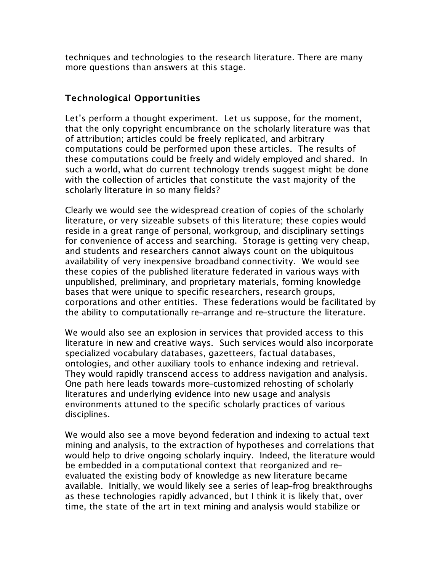techniques and technologies to the research literature. There are many more questions than answers at this stage.

## **Technological Opportunities**

Let's perform a thought experiment. Let us suppose, for the moment, that the only copyright encumbrance on the scholarly literature was that of attribution; articles could be freely replicated, and arbitrary computations could be performed upon these articles. The results of these computations could be freely and widely employed and shared. In such a world, what do current technology trends suggest might be done with the collection of articles that constitute the vast majority of the scholarly literature in so many fields?

Clearly we would see the widespread creation of copies of the scholarly literature, or very sizeable subsets of this literature; these copies would reside in a great range of personal, workgroup, and disciplinary settings for convenience of access and searching. Storage is getting very cheap, and students and researchers cannot always count on the ubiquitous availability of very inexpensive broadband connectivity. We would see these copies of the published literature federated in various ways with unpublished, preliminary, and proprietary materials, forming knowledge bases that were unique to specific researchers, research groups, corporations and other entities. These federations would be facilitated by the ability to computationally re-arrange and re-structure the literature.

We would also see an explosion in services that provided access to this literature in new and creative ways. Such services would also incorporate specialized vocabulary databases, gazetteers, factual databases, ontologies, and other auxiliary tools to enhance indexing and retrieval. They would rapidly transcend access to address navigation and analysis. One path here leads towards more-customized rehosting of scholarly literatures and underlying evidence into new usage and analysis environments attuned to the specific scholarly practices of various disciplines.

We would also see a move beyond federation and indexing to actual text mining and analysis, to the extraction of hypotheses and correlations that would help to drive ongoing scholarly inquiry. Indeed, the literature would be embedded in a computational context that reorganized and reevaluated the existing body of knowledge as new literature became available. Initially, we would likely see a series of leap-frog breakthroughs as these technologies rapidly advanced, but I think it is likely that, over time, the state of the art in text mining and analysis would stabilize or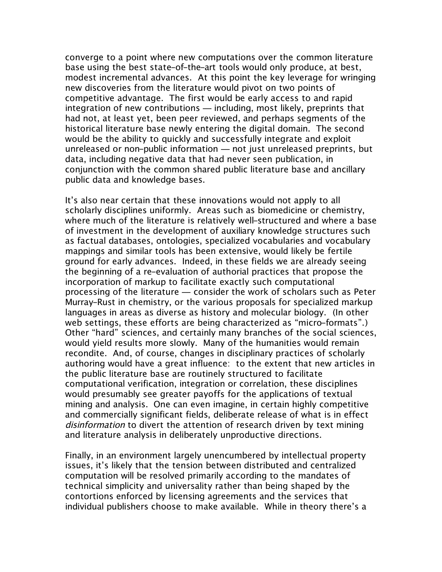converge to a point where new computations over the common literature base using the best state-of-the-art tools would only produce, at best, modest incremental advances. At this point the key leverage for wringing new discoveries from the literature would pivot on two points of competitive advantage. The first would be early access to and rapid integration of new contributions — including, most likely, preprints that had not, at least yet, been peer reviewed, and perhaps segments of the historical literature base newly entering the digital domain. The second would be the ability to quickly and successfully integrate and exploit unreleased or non-public information — not just unreleased preprints, but data, including negative data that had never seen publication, in conjunction with the common shared public literature base and ancillary public data and knowledge bases.

It's also near certain that these innovations would not apply to all scholarly disciplines uniformly. Areas such as biomedicine or chemistry, where much of the literature is relatively well-structured and where a base of investment in the development of auxiliary knowledge structures such as factual databases, ontologies, specialized vocabularies and vocabulary mappings and similar tools has been extensive, would likely be fertile ground for early advances. Indeed, in these fields we are already seeing the beginning of a re-evaluation of authorial practices that propose the incorporation of markup to facilitate exactly such computational processing of the literature — consider the work of scholars such as Peter Murray-Rust in chemistry, or the various proposals for specialized markup languages in areas as diverse as history and molecular biology. (In other web settings, these efforts are being characterized as "micro-formats".) Other "hard" sciences, and certainly many branches of the social sciences, would yield results more slowly. Many of the humanities would remain recondite. And, of course, changes in disciplinary practices of scholarly authoring would have a great influence: to the extent that new articles in the public literature base are routinely structured to facilitate computational verification, integration or correlation, these disciplines would presumably see greater payoffs for the applications of textual mining and analysis. One can even imagine, in certain highly competitive and commercially significant fields, deliberate release of what is in effect disinformation to divert the attention of research driven by text mining and literature analysis in deliberately unproductive directions.

Finally, in an environment largely unencumbered by intellectual property issues, it's likely that the tension between distributed and centralized computation will be resolved primarily according to the mandates of technical simplicity and universality rather than being shaped by the contortions enforced by licensing agreements and the services that individual publishers choose to make available. While in theory there's a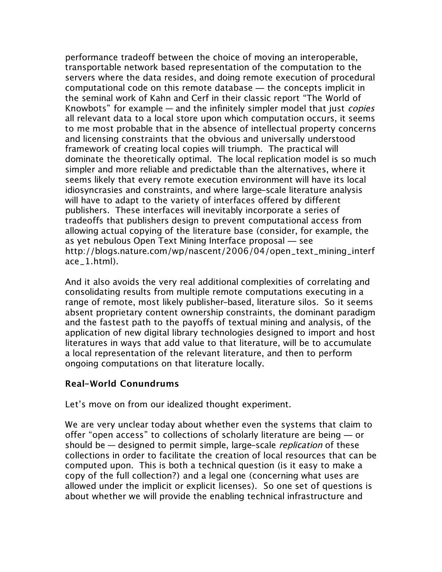performance tradeoff between the choice of moving an interoperable, transportable network based representation of the computation to the servers where the data resides, and doing remote execution of procedural computational code on this remote database — the concepts implicit in the seminal work of Kahn and Cerf in their classic report "The World of Knowbots" for example — and the infinitely simpler model that just *copies* all relevant data to a local store upon which computation occurs, it seems to me most probable that in the absence of intellectual property concerns and licensing constraints that the obvious and universally understood framework of creating local copies will triumph. The practical will dominate the theoretically optimal. The local replication model is so much simpler and more reliable and predictable than the alternatives, where it seems likely that every remote execution environment will have its local idiosyncrasies and constraints, and where large-scale literature analysis will have to adapt to the variety of interfaces offered by different publishers. These interfaces will inevitably incorporate a series of tradeoffs that publishers design to prevent computational access from allowing actual copying of the literature base (consider, for example, the as yet nebulous Open Text Mining Interface proposal — see http://blogs.nature.com/wp/nascent/2006/04/open\_text\_mining\_interf ace\_1.html).

And it also avoids the very real additional complexities of correlating and consolidating results from multiple remote computations executing in a range of remote, most likely publisher-based, literature silos. So it seems absent proprietary content ownership constraints, the dominant paradigm and the fastest path to the payoffs of textual mining and analysis, of the application of new digital library technologies designed to import and host literatures in ways that add value to that literature, will be to accumulate a local representation of the relevant literature, and then to perform ongoing computations on that literature locally.

## **Real-World Conundrums**

Let's move on from our idealized thought experiment.

We are very unclear today about whether even the systems that claim to offer "open access" to collections of scholarly literature are being — or should be -- designed to permit simple, large-scale *replication* of these collections in order to facilitate the creation of local resources that can be computed upon. This is both a technical question (is it easy to make a copy of the full collection?) and a legal one (concerning what uses are allowed under the implicit or explicit licenses). So one set of questions is about whether we will provide the enabling technical infrastructure and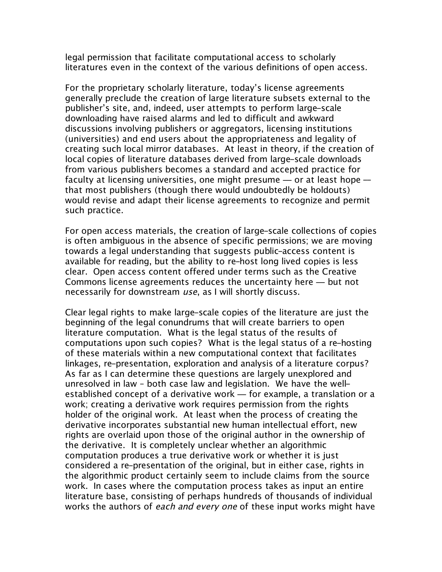legal permission that facilitate computational access to scholarly literatures even in the context of the various definitions of open access.

For the proprietary scholarly literature, today's license agreements generally preclude the creation of large literature subsets external to the publisher's site, and, indeed, user attempts to perform large-scale downloading have raised alarms and led to difficult and awkward discussions involving publishers or aggregators, licensing institutions (universities) and end users about the appropriateness and legality of creating such local mirror databases. At least in theory, if the creation of local copies of literature databases derived from large-scale downloads from various publishers becomes a standard and accepted practice for faculty at licensing universities, one might presume  $-$  or at least hope  $$ that most publishers (though there would undoubtedly be holdouts) would revise and adapt their license agreements to recognize and permit such practice.

For open access materials, the creation of large-scale collections of copies is often ambiguous in the absence of specific permissions; we are moving towards a legal understanding that suggests public-access content is available for reading, but the ability to re-host long lived copies is less clear. Open access content offered under terms such as the Creative Commons license agreements reduces the uncertainty here — but not necessarily for downstream use, as I will shortly discuss.

Clear legal rights to make large-scale copies of the literature are just the beginning of the legal conundrums that will create barriers to open literature computation. What is the legal status of the results of computations upon such copies? What is the legal status of a re-hosting of these materials within a new computational context that facilitates linkages, re-presentation, exploration and analysis of a literature corpus? As far as I can determine these questions are largely unexplored and unresolved in law – both case law and legislation. We have the wellestablished concept of a derivative work — for example, a translation or a work; creating a derivative work requires permission from the rights holder of the original work. At least when the process of creating the derivative incorporates substantial new human intellectual effort, new rights are overlaid upon those of the original author in the ownership of the derivative. It is completely unclear whether an algorithmic computation produces a true derivative work or whether it is just considered a re-presentation of the original, but in either case, rights in the algorithmic product certainly seem to include claims from the source work. In cases where the computation process takes as input an entire literature base, consisting of perhaps hundreds of thousands of individual works the authors of each and every one of these input works might have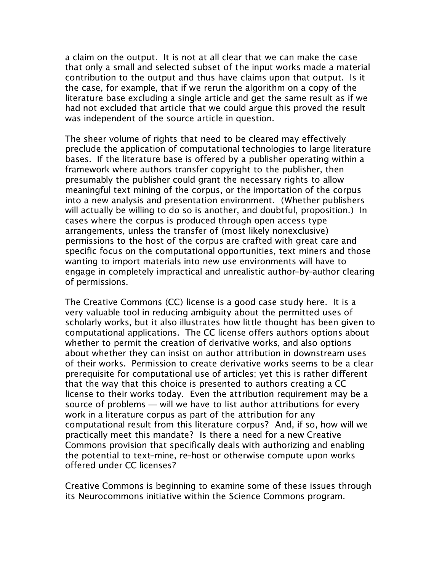a claim on the output. It is not at all clear that we can make the case that only a small and selected subset of the input works made a material contribution to the output and thus have claims upon that output. Is it the case, for example, that if we rerun the algorithm on a copy of the literature base excluding a single article and get the same result as if we had not excluded that article that we could argue this proved the result was independent of the source article in question.

The sheer volume of rights that need to be cleared may effectively preclude the application of computational technologies to large literature bases. If the literature base is offered by a publisher operating within a framework where authors transfer copyright to the publisher, then presumably the publisher could grant the necessary rights to allow meaningful text mining of the corpus, or the importation of the corpus into a new analysis and presentation environment. (Whether publishers will actually be willing to do so is another, and doubtful, proposition.) In cases where the corpus is produced through open access type arrangements, unless the transfer of (most likely nonexclusive) permissions to the host of the corpus are crafted with great care and specific focus on the computational opportunities, text miners and those wanting to import materials into new use environments will have to engage in completely impractical and unrealistic author-by-author clearing of permissions.

The Creative Commons (CC) license is a good case study here. It is a very valuable tool in reducing ambiguity about the permitted uses of scholarly works, but it also illustrates how little thought has been given to computational applications. The CC license offers authors options about whether to permit the creation of derivative works, and also options about whether they can insist on author attribution in downstream uses of their works. Permission to create derivative works seems to be a clear prerequisite for computational use of articles; yet this is rather different that the way that this choice is presented to authors creating a CC license to their works today. Even the attribution requirement may be a source of problems — will we have to list author attributions for every work in a literature corpus as part of the attribution for any computational result from this literature corpus? And, if so, how will we practically meet this mandate? Is there a need for a new Creative Commons provision that specifically deals with authorizing and enabling the potential to text-mine, re-host or otherwise compute upon works offered under CC licenses?

Creative Commons is beginning to examine some of these issues through its Neurocommons initiative within the Science Commons program.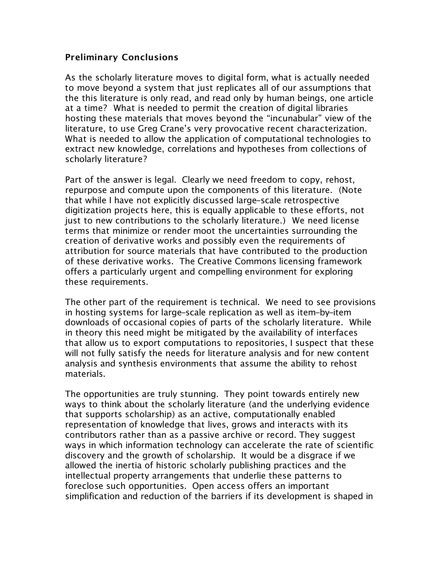## **Preliminary Conclusions**

As the scholarly literature moves to digital form, what is actually needed to move beyond a system that just replicates all of our assumptions that the this literature is only read, and read only by human beings, one article at a time? What is needed to permit the creation of digital libraries hosting these materials that moves beyond the "incunabular" view of the literature, to use Greg Crane's very provocative recent characterization. What is needed to allow the application of computational technologies to extract new knowledge, correlations and hypotheses from collections of scholarly literature?

Part of the answer is legal. Clearly we need freedom to copy, rehost, repurpose and compute upon the components of this literature. (Note that while I have not explicitly discussed large-scale retrospective digitization projects here, this is equally applicable to these efforts, not just to new contributions to the scholarly literature.) We need license terms that minimize or render moot the uncertainties surrounding the creation of derivative works and possibly even the requirements of attribution for source materials that have contributed to the production of these derivative works. The Creative Commons licensing framework offers a particularly urgent and compelling environment for exploring these requirements.

The other part of the requirement is technical. We need to see provisions in hosting systems for large-scale replication as well as item-by-item downloads of occasional copies of parts of the scholarly literature. While in theory this need might be mitigated by the availability of interfaces that allow us to export computations to repositories, I suspect that these will not fully satisfy the needs for literature analysis and for new content analysis and synthesis environments that assume the ability to rehost materials.

The opportunities are truly stunning. They point towards entirely new ways to think about the scholarly literature (and the underlying evidence that supports scholarship) as an active, computationally enabled representation of knowledge that lives, grows and interacts with its contributors rather than as a passive archive or record. They suggest ways in which information technology can accelerate the rate of scientific discovery and the growth of scholarship. It would be a disgrace if we allowed the inertia of historic scholarly publishing practices and the intellectual property arrangements that underlie these patterns to foreclose such opportunities. Open access offers an important simplification and reduction of the barriers if its development is shaped in